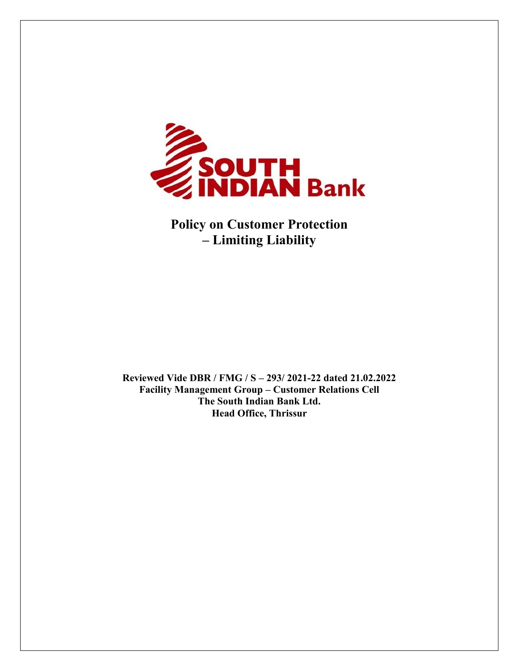

**Policy on Customer Protection – Limiting Liability**

**Reviewed Vide DBR / FMG / S – 293/ 2021-22 dated 21.02.2022 Facility Management Group – Customer Relations Cell The South Indian Bank Ltd. Head Office, Thrissur**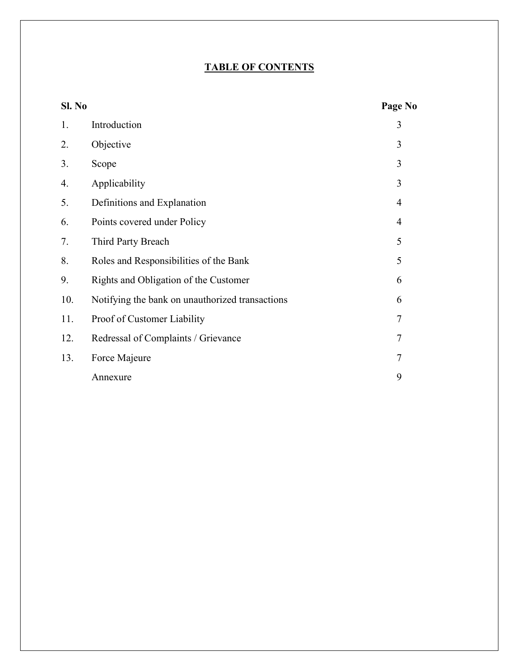# **TABLE OF CONTENTS**

| Sl. No |                                                 | Page No        |
|--------|-------------------------------------------------|----------------|
| 1.     | Introduction                                    | 3              |
| 2.     | Objective                                       | 3              |
| 3.     | Scope                                           | 3              |
| 4.     | Applicability                                   | 3              |
| 5.     | Definitions and Explanation                     | 4              |
| 6.     | Points covered under Policy                     | 4              |
| 7.     | Third Party Breach                              | 5              |
| 8.     | Roles and Responsibilities of the Bank          | 5              |
| 9.     | Rights and Obligation of the Customer           | 6              |
| 10.    | Notifying the bank on unauthorized transactions | 6              |
| 11.    | Proof of Customer Liability                     | 7              |
| 12.    | Redressal of Complaints / Grievance             | 7              |
| 13.    | Force Majeure                                   | $\overline{7}$ |
|        | Annexure                                        | 9              |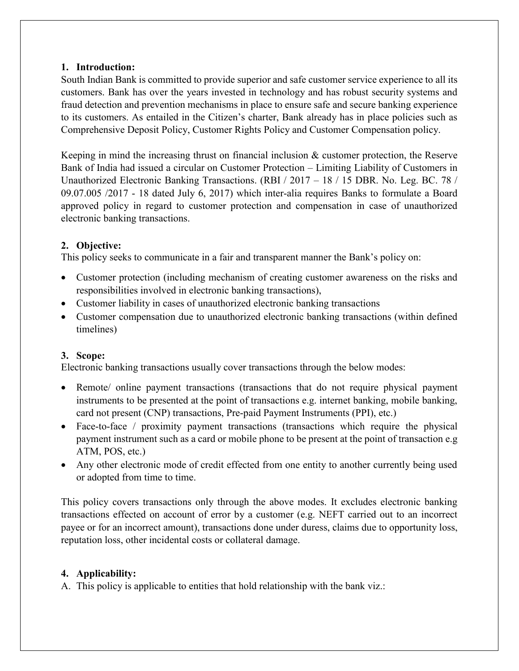#### **1. Introduction:**

South Indian Bank is committed to provide superior and safe customer service experience to all its customers. Bank has over the years invested in technology and has robust security systems and fraud detection and prevention mechanisms in place to ensure safe and secure banking experience to its customers. As entailed in the Citizen's charter, Bank already has in place policies such as Comprehensive Deposit Policy, Customer Rights Policy and Customer Compensation policy.

Keeping in mind the increasing thrust on financial inclusion  $\&$  customer protection, the Reserve Bank of India had issued a circular on Customer Protection – Limiting Liability of Customers in Unauthorized Electronic Banking Transactions. (RBI / 2017 – 18 / 15 DBR. No. Leg. BC. 78 / 09.07.005 /2017 - 18 dated July 6, 2017) which inter-alia requires Banks to formulate a Board approved policy in regard to customer protection and compensation in case of unauthorized electronic banking transactions.

#### **2. Objective:**

This policy seeks to communicate in a fair and transparent manner the Bank's policy on:

- Customer protection (including mechanism of creating customer awareness on the risks and responsibilities involved in electronic banking transactions),
- Customer liability in cases of unauthorized electronic banking transactions
- Customer compensation due to unauthorized electronic banking transactions (within defined timelines)

## **3. Scope:**

Electronic banking transactions usually cover transactions through the below modes:

- Remote/ online payment transactions (transactions that do not require physical payment instruments to be presented at the point of transactions e.g. internet banking, mobile banking, card not present (CNP) transactions, Pre-paid Payment Instruments (PPI), etc.)
- Face-to-face / proximity payment transactions (transactions which require the physical payment instrument such as a card or mobile phone to be present at the point of transaction e.g ATM, POS, etc.)
- Any other electronic mode of credit effected from one entity to another currently being used or adopted from time to time.

This policy covers transactions only through the above modes. It excludes electronic banking transactions effected on account of error by a customer (e.g. NEFT carried out to an incorrect payee or for an incorrect amount), transactions done under duress, claims due to opportunity loss, reputation loss, other incidental costs or collateral damage.

## **4. Applicability:**

A. This policy is applicable to entities that hold relationship with the bank viz.: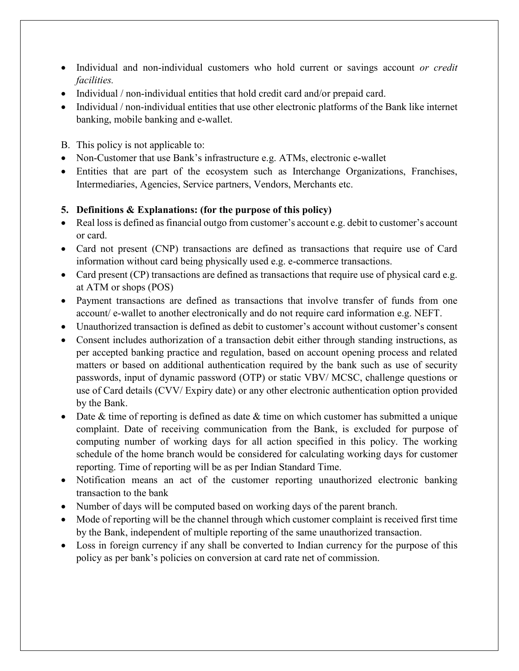- Individual and non-individual customers who hold current or savings account *or credit facilities.*
- Individual / non-individual entities that hold credit card and/or prepaid card.
- Individual / non-individual entities that use other electronic platforms of the Bank like internet banking, mobile banking and e-wallet.
- B. This policy is not applicable to:
- Non-Customer that use Bank's infrastructure e.g. ATMs, electronic e-wallet
- Entities that are part of the ecosystem such as Interchange Organizations, Franchises, Intermediaries, Agencies, Service partners, Vendors, Merchants etc.

## **5. Definitions & Explanations: (for the purpose of this policy)**

- Real loss is defined as financial outgo from customer's account e.g. debit to customer's account or card.
- Card not present (CNP) transactions are defined as transactions that require use of Card information without card being physically used e.g. e-commerce transactions.
- Card present (CP) transactions are defined as transactions that require use of physical card e.g. at ATM or shops (POS)
- Payment transactions are defined as transactions that involve transfer of funds from one account/ e-wallet to another electronically and do not require card information e.g. NEFT.
- Unauthorized transaction is defined as debit to customer's account without customer's consent
- Consent includes authorization of a transaction debit either through standing instructions, as per accepted banking practice and regulation, based on account opening process and related matters or based on additional authentication required by the bank such as use of security passwords, input of dynamic password (OTP) or static VBV/ MCSC, challenge questions or use of Card details (CVV/ Expiry date) or any other electronic authentication option provided by the Bank.
- $\bullet$  Date & time of reporting is defined as date & time on which customer has submitted a unique complaint. Date of receiving communication from the Bank, is excluded for purpose of computing number of working days for all action specified in this policy. The working schedule of the home branch would be considered for calculating working days for customer reporting. Time of reporting will be as per Indian Standard Time.
- Notification means an act of the customer reporting unauthorized electronic banking transaction to the bank
- Number of days will be computed based on working days of the parent branch.
- Mode of reporting will be the channel through which customer complaint is received first time by the Bank, independent of multiple reporting of the same unauthorized transaction.
- Loss in foreign currency if any shall be converted to Indian currency for the purpose of this policy as per bank's policies on conversion at card rate net of commission.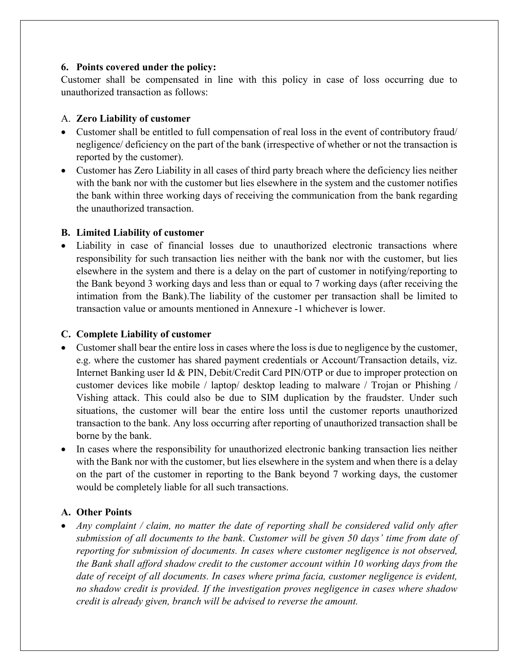#### **6. Points covered under the policy:**

Customer shall be compensated in line with this policy in case of loss occurring due to unauthorized transaction as follows:

#### A. **Zero Liability of customer**

- Customer shall be entitled to full compensation of real loss in the event of contributory fraud/ negligence/ deficiency on the part of the bank (irrespective of whether or not the transaction is reported by the customer).
- Customer has Zero Liability in all cases of third party breach where the deficiency lies neither with the bank nor with the customer but lies elsewhere in the system and the customer notifies the bank within three working days of receiving the communication from the bank regarding the unauthorized transaction.

#### **B. Limited Liability of customer**

• Liability in case of financial losses due to unauthorized electronic transactions where responsibility for such transaction lies neither with the bank nor with the customer, but lies elsewhere in the system and there is a delay on the part of customer in notifying/reporting to the Bank beyond 3 working days and less than or equal to 7 working days (after receiving the intimation from the Bank).The liability of the customer per transaction shall be limited to transaction value or amounts mentioned in Annexure -1 whichever is lower.

#### **C. Complete Liability of customer**

- Customer shall bear the entire loss in cases where the loss is due to negligence by the customer, e.g. where the customer has shared payment credentials or Account/Transaction details, viz. Internet Banking user Id & PIN, Debit/Credit Card PIN/OTP or due to improper protection on customer devices like mobile / laptop/ desktop leading to malware / Trojan or Phishing / Vishing attack. This could also be due to SIM duplication by the fraudster. Under such situations, the customer will bear the entire loss until the customer reports unauthorized transaction to the bank. Any loss occurring after reporting of unauthorized transaction shall be borne by the bank.
- In cases where the responsibility for unauthorized electronic banking transaction lies neither with the Bank nor with the customer, but lies elsewhere in the system and when there is a delay on the part of the customer in reporting to the Bank beyond 7 working days, the customer would be completely liable for all such transactions.

## **A. Other Points**

 *Any complaint / claim, no matter the date of reporting shall be considered valid only after submission of all documents to the bank*. *Customer will be given 50 days' time from date of reporting for submission of documents. In cases where customer negligence is not observed, the Bank shall afford shadow credit to the customer account within 10 working days from the date of receipt of all documents. In cases where prima facia, customer negligence is evident, no shadow credit is provided. If the investigation proves negligence in cases where shadow credit is already given, branch will be advised to reverse the amount.*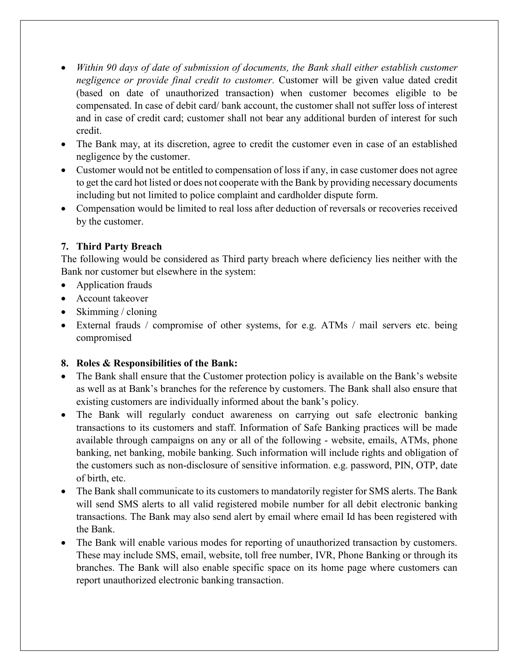- *Within 90 days of date of submission of documents, the Bank shall either establish customer negligence or provide final credit to customer.* Customer will be given value dated credit (based on date of unauthorized transaction) when customer becomes eligible to be compensated. In case of debit card/ bank account, the customer shall not suffer loss of interest and in case of credit card; customer shall not bear any additional burden of interest for such credit.
- The Bank may, at its discretion, agree to credit the customer even in case of an established negligence by the customer.
- Customer would not be entitled to compensation of loss if any, in case customer does not agree to get the card hot listed or does not cooperate with the Bank by providing necessary documents including but not limited to police complaint and cardholder dispute form.
- Compensation would be limited to real loss after deduction of reversals or recoveries received by the customer.

## **7. Third Party Breach**

The following would be considered as Third party breach where deficiency lies neither with the Bank nor customer but elsewhere in the system:

- Application frauds
- Account takeover
- $\bullet$  Skimming / cloning
- External frauds / compromise of other systems, for e.g. ATMs / mail servers etc. being compromised

## **8. Roles & Responsibilities of the Bank:**

- The Bank shall ensure that the Customer protection policy is available on the Bank's website as well as at Bank's branches for the reference by customers. The Bank shall also ensure that existing customers are individually informed about the bank's policy.
- The Bank will regularly conduct awareness on carrying out safe electronic banking transactions to its customers and staff. Information of Safe Banking practices will be made available through campaigns on any or all of the following - website, emails, ATMs, phone banking, net banking, mobile banking. Such information will include rights and obligation of the customers such as non-disclosure of sensitive information. e.g. password, PIN, OTP, date of birth, etc.
- The Bank shall communicate to its customers to mandatorily register for SMS alerts. The Bank will send SMS alerts to all valid registered mobile number for all debit electronic banking transactions. The Bank may also send alert by email where email Id has been registered with the Bank.
- The Bank will enable various modes for reporting of unauthorized transaction by customers. These may include SMS, email, website, toll free number, IVR, Phone Banking or through its branches. The Bank will also enable specific space on its home page where customers can report unauthorized electronic banking transaction.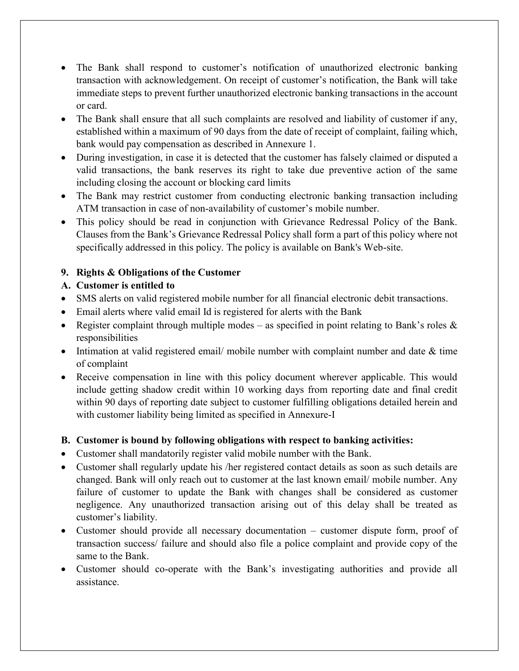- The Bank shall respond to customer's notification of unauthorized electronic banking transaction with acknowledgement. On receipt of customer's notification, the Bank will take immediate steps to prevent further unauthorized electronic banking transactions in the account or card.
- The Bank shall ensure that all such complaints are resolved and liability of customer if any, established within a maximum of 90 days from the date of receipt of complaint, failing which, bank would pay compensation as described in Annexure 1.
- During investigation, in case it is detected that the customer has falsely claimed or disputed a valid transactions, the bank reserves its right to take due preventive action of the same including closing the account or blocking card limits
- The Bank may restrict customer from conducting electronic banking transaction including ATM transaction in case of non-availability of customer's mobile number.
- This policy should be read in conjunction with Grievance Redressal Policy of the Bank. Clauses from the Bank's Grievance Redressal Policy shall form a part of this policy where not specifically addressed in this policy. The policy is available on Bank's Web-site.

# **9. Rights & Obligations of the Customer**

# **A. Customer is entitled to**

- SMS alerts on valid registered mobile number for all financial electronic debit transactions.
- Email alerts where valid email Id is registered for alerts with the Bank
- Register complaint through multiple modes as specified in point relating to Bank's roles  $\&$ responsibilities
- Intimation at valid registered email/ mobile number with complaint number and date & time of complaint
- Receive compensation in line with this policy document wherever applicable. This would include getting shadow credit within 10 working days from reporting date and final credit within 90 days of reporting date subject to customer fulfilling obligations detailed herein and with customer liability being limited as specified in Annexure-I

# **B. Customer is bound by following obligations with respect to banking activities:**

- Customer shall mandatorily register valid mobile number with the Bank.
- Customer shall regularly update his /her registered contact details as soon as such details are changed. Bank will only reach out to customer at the last known email/ mobile number. Any failure of customer to update the Bank with changes shall be considered as customer negligence. Any unauthorized transaction arising out of this delay shall be treated as customer's liability.
- Customer should provide all necessary documentation customer dispute form, proof of transaction success/ failure and should also file a police complaint and provide copy of the same to the Bank.
- Customer should co-operate with the Bank's investigating authorities and provide all assistance.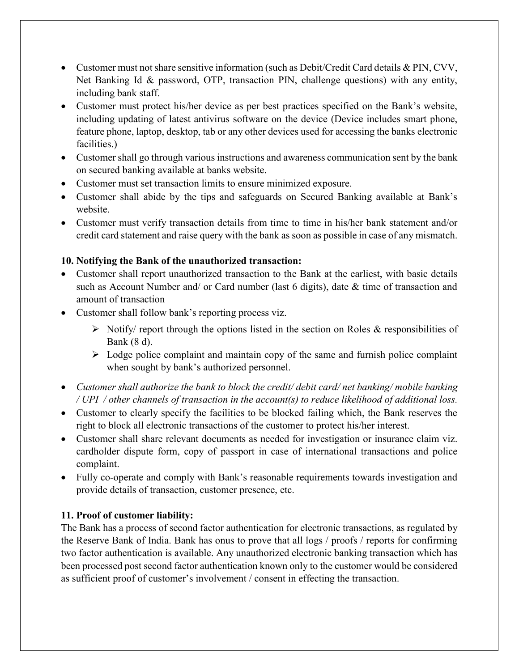- Customer must not share sensitive information (such as Debit/Credit Card details & PIN, CVV, Net Banking Id & password, OTP, transaction PIN, challenge questions) with any entity, including bank staff.
- Customer must protect his/her device as per best practices specified on the Bank's website, including updating of latest antivirus software on the device (Device includes smart phone, feature phone, laptop, desktop, tab or any other devices used for accessing the banks electronic facilities.)
- Customer shall go through various instructions and awareness communication sent by the bank on secured banking available at banks website.
- Customer must set transaction limits to ensure minimized exposure.
- Customer shall abide by the tips and safeguards on Secured Banking available at Bank's website.
- Customer must verify transaction details from time to time in his/her bank statement and/or credit card statement and raise query with the bank as soon as possible in case of any mismatch.

## **10. Notifying the Bank of the unauthorized transaction:**

- Customer shall report unauthorized transaction to the Bank at the earliest, with basic details such as Account Number and/ or Card number (last 6 digits), date & time of transaction and amount of transaction
- Customer shall follow bank's reporting process viz.
	- $\triangleright$  Notify/ report through the options listed in the section on Roles & responsibilities of Bank (8 d).
	- $\triangleright$  Lodge police complaint and maintain copy of the same and furnish police complaint when sought by bank's authorized personnel.
- *Customer shall authorize the bank to block the credit/ debit card/ net banking/ mobile banking / UPI / other channels of transaction in the account(s) to reduce likelihood of additional loss.*
- Customer to clearly specify the facilities to be blocked failing which, the Bank reserves the right to block all electronic transactions of the customer to protect his/her interest.
- Customer shall share relevant documents as needed for investigation or insurance claim viz. cardholder dispute form, copy of passport in case of international transactions and police complaint.
- Fully co-operate and comply with Bank's reasonable requirements towards investigation and provide details of transaction, customer presence, etc.

## **11. Proof of customer liability:**

The Bank has a process of second factor authentication for electronic transactions, as regulated by the Reserve Bank of India. Bank has onus to prove that all logs / proofs / reports for confirming two factor authentication is available. Any unauthorized electronic banking transaction which has been processed post second factor authentication known only to the customer would be considered as sufficient proof of customer's involvement / consent in effecting the transaction.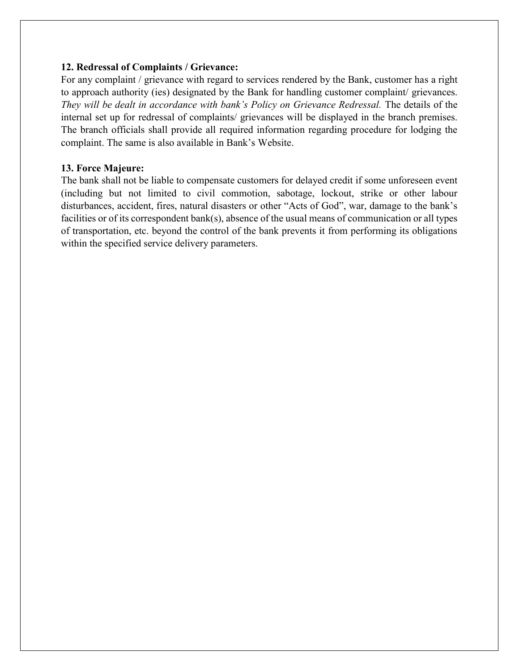#### **12. Redressal of Complaints / Grievance:**

For any complaint / grievance with regard to services rendered by the Bank, customer has a right to approach authority (ies) designated by the Bank for handling customer complaint/ grievances. *They will be dealt in accordance with bank's Policy on Grievance Redressal.* The details of the internal set up for redressal of complaints/ grievances will be displayed in the branch premises. The branch officials shall provide all required information regarding procedure for lodging the complaint. The same is also available in Bank's Website.

#### **13. Force Majeure:**

The bank shall not be liable to compensate customers for delayed credit if some unforeseen event (including but not limited to civil commotion, sabotage, lockout, strike or other labour disturbances, accident, fires, natural disasters or other "Acts of God", war, damage to the bank's facilities or of its correspondent bank(s), absence of the usual means of communication or all types of transportation, etc. beyond the control of the bank prevents it from performing its obligations within the specified service delivery parameters.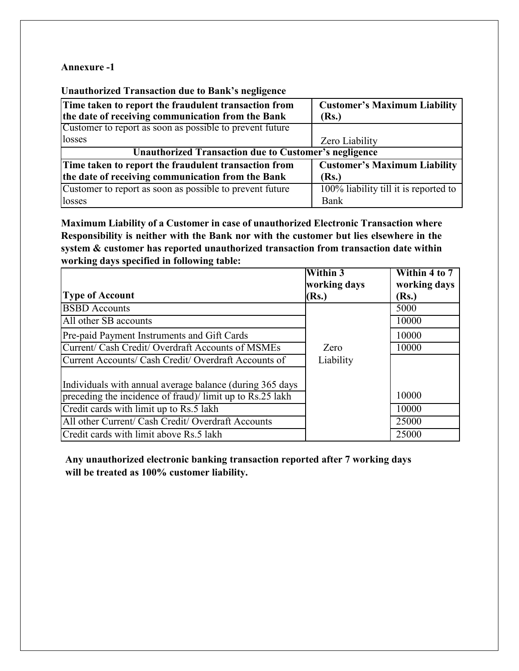#### **Annexure -1**

**Unauthorized Transaction due to Bank's negligence**

| Time taken to report the fraudulent transaction from         | <b>Customer's Maximum Liability</b>   |  |  |
|--------------------------------------------------------------|---------------------------------------|--|--|
| the date of receiving communication from the Bank            | (Rs.)                                 |  |  |
| Customer to report as soon as possible to prevent future     |                                       |  |  |
| losses                                                       | Zero Liability                        |  |  |
| <b>Unauthorized Transaction due to Customer's negligence</b> |                                       |  |  |
| Time taken to report the fraudulent transaction from         | <b>Customer's Maximum Liability</b>   |  |  |
| the date of receiving communication from the Bank            | (Rs.)                                 |  |  |
| Customer to report as soon as possible to prevent future     | 100% liability till it is reported to |  |  |
| losses                                                       | Bank                                  |  |  |

**Maximum Liability of a Customer in case of unauthorized Electronic Transaction where Responsibility is neither with the Bank nor with the customer but lies elsewhere in the system & customer has reported unauthorized transaction from transaction date within working days specified in following table:**

|                                                          | <b>Within 3</b> | Within 4 to 7 |
|----------------------------------------------------------|-----------------|---------------|
|                                                          | working days    | working days  |
| <b>Type of Account</b>                                   | (Rs.)           | (Rs.)         |
| <b>BSBD</b> Accounts                                     |                 | 5000          |
| All other SB accounts                                    |                 | 10000         |
| Pre-paid Payment Instruments and Gift Cards              |                 | 10000         |
| Current/ Cash Credit/ Overdraft Accounts of MSMEs        | Zero            | 10000         |
| Current Accounts/ Cash Credit/ Overdraft Accounts of     | Liability       |               |
|                                                          |                 |               |
| Individuals with annual average balance (during 365 days |                 |               |
| preceding the incidence of fraud) limit up to Rs.25 lakh |                 | 10000         |
| Credit cards with limit up to Rs.5 lakh                  |                 | 10000         |
| All other Current/ Cash Credit/ Overdraft Accounts       |                 | 25000         |
| Credit cards with limit above Rs.5 lakh                  |                 | 25000         |

**Any unauthorized electronic banking transaction reported after 7 working days will be treated as 100% customer liability.**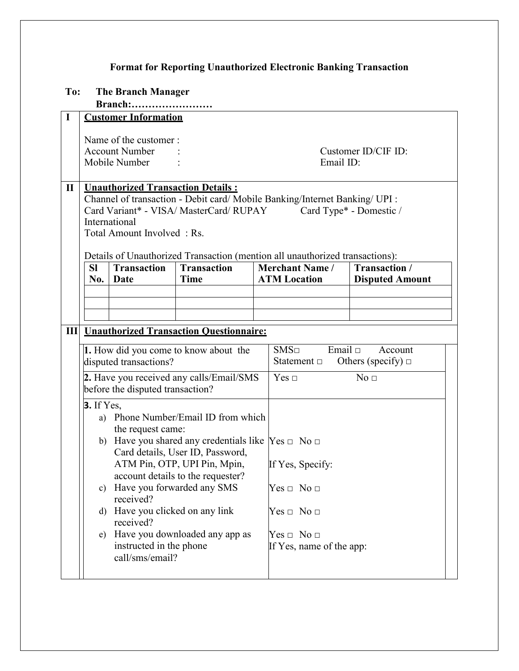# **Format for Reporting Unauthorized Electronic Banking Transaction**

# **To: The Branch Manager**

**Branch:……………………**

| $\mathbf I$  |                                                                                                                                                                                                                                                                                                                                                                                                                                                                                                                                                                    | <b>Customer Information</b>                                                                                                                                                                                                                  |                                   |                                                                                                                               |                                                    |  |
|--------------|--------------------------------------------------------------------------------------------------------------------------------------------------------------------------------------------------------------------------------------------------------------------------------------------------------------------------------------------------------------------------------------------------------------------------------------------------------------------------------------------------------------------------------------------------------------------|----------------------------------------------------------------------------------------------------------------------------------------------------------------------------------------------------------------------------------------------|-----------------------------------|-------------------------------------------------------------------------------------------------------------------------------|----------------------------------------------------|--|
|              |                                                                                                                                                                                                                                                                                                                                                                                                                                                                                                                                                                    | Name of the customer:<br><b>Account Number</b><br>Mobile Number                                                                                                                                                                              |                                   | Email ID:                                                                                                                     | Customer ID/CIF ID:                                |  |
| $\mathbf{I}$ |                                                                                                                                                                                                                                                                                                                                                                                                                                                                                                                                                                    | <b>Unauthorized Transaction Details:</b><br>Channel of transaction - Debit card/ Mobile Banking/Internet Banking/ UPI :<br>Card Variant* - VISA/ MasterCard/ RUPAY<br>Card Type* - Domestic /<br>International<br>Total Amount Involved: Rs. |                                   |                                                                                                                               |                                                    |  |
|              | <b>SI</b><br>No.                                                                                                                                                                                                                                                                                                                                                                                                                                                                                                                                                   | <b>Transaction</b><br>Date                                                                                                                                                                                                                   | <b>Transaction</b><br><b>Time</b> | Details of Unauthorized Transaction (mention all unauthorized transactions):<br><b>Merchant Name /</b><br><b>ATM Location</b> | Transaction /<br><b>Disputed Amount</b>            |  |
|              |                                                                                                                                                                                                                                                                                                                                                                                                                                                                                                                                                                    |                                                                                                                                                                                                                                              |                                   |                                                                                                                               |                                                    |  |
|              |                                                                                                                                                                                                                                                                                                                                                                                                                                                                                                                                                                    | <b>III</b> Unauthorized Transaction Ouestionnaire:                                                                                                                                                                                           |                                   |                                                                                                                               |                                                    |  |
|              | 1. How did you come to know about the<br>disputed transactions?                                                                                                                                                                                                                                                                                                                                                                                                                                                                                                    |                                                                                                                                                                                                                                              |                                   | SMS <sub>□</sub><br>Statement $\Box$                                                                                          | Email $\Box$<br>Account<br>Others (specify) $\Box$ |  |
|              | 2. Have you received any calls/Email/SMS<br>before the disputed transaction?                                                                                                                                                                                                                                                                                                                                                                                                                                                                                       |                                                                                                                                                                                                                                              |                                   | $Yes \Box$                                                                                                                    | No <sub>□</sub>                                    |  |
|              | <b>3.</b> If Yes,<br>a) Phone Number/Email ID from which<br>the request came:<br>b) Have you shared any credentials like $\text{Yes } \square$ No $\square$<br>Card details, User ID, Password,<br>ATM Pin, OTP, UPI Pin, Mpin,<br>If Yes, Specify:<br>account details to the requester?<br>c) Have you forwarded any SMS<br>$Yes \Box No \Box$<br>received?<br>Have you clicked on any link<br>$Yes \sqcup No \sqcup$<br>d)<br>received?<br>Have you downloaded any app as<br>$Yes \sqcup No \sqcup$<br>e)<br>instructed in the phone<br>If Yes, name of the app: |                                                                                                                                                                                                                                              |                                   |                                                                                                                               |                                                    |  |
|              |                                                                                                                                                                                                                                                                                                                                                                                                                                                                                                                                                                    | call/sms/email?                                                                                                                                                                                                                              |                                   |                                                                                                                               |                                                    |  |